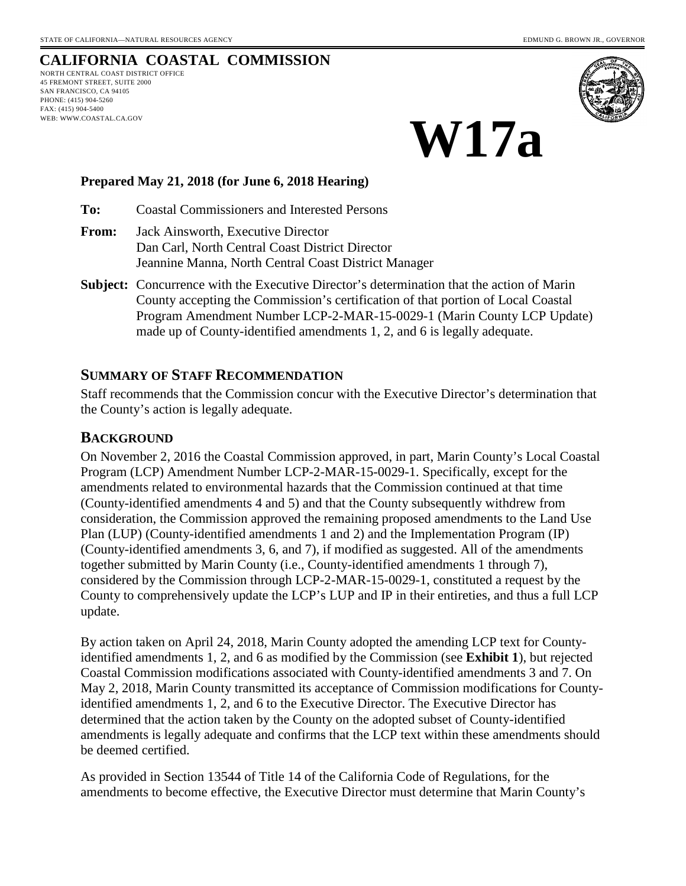# **CALIFORNIA COASTAL COMMISSION**

NORTH CENTRAL COAST DISTRICT OFFICE 45 FREMONT STREET, SUITE 2000 SAN FRANCISCO, CA 94105 PHONE: (415) 904-5260 FAX: (415) 904-5400 WEB: WWW.COASTAL.CA.GOV



# **W17a**

#### **Prepared May 21, 2018 (for June 6, 2018 Hearing)**

**To:** Coastal Commissioners and Interested Persons

- **From:** Jack Ainsworth, Executive Director Dan Carl, North Central Coast District Director Jeannine Manna, North Central Coast District Manager
- **Subject:** Concurrence with the Executive Director's determination that the action of Marin County accepting the Commission's certification of that portion of Local Coastal Program Amendment Number LCP-2-MAR-15-0029-1 (Marin County LCP Update) made up of County-identified amendments 1, 2, and 6 is legally adequate.

#### **SUMMARY OF STAFF RECOMMENDATION**

Staff recommends that the Commission concur with the Executive Director's determination that the County's action is legally adequate.

#### **BACKGROUND**

On November 2, 2016 the Coastal Commission approved, in part, Marin County's Local Coastal Program (LCP) Amendment Number LCP-2-MAR-15-0029-1. Specifically, except for the amendments related to environmental hazards that the Commission continued at that time (County-identified amendments 4 and 5) and that the County subsequently withdrew from consideration, the Commission approved the remaining proposed amendments to the Land Use Plan (LUP) (County-identified amendments 1 and 2) and the Implementation Program (IP) (County-identified amendments 3, 6, and 7), if modified as suggested. All of the amendments together submitted by Marin County (i.e., County-identified amendments 1 through 7), considered by the Commission through LCP-2-MAR-15-0029-1, constituted a request by the County to comprehensively update the LCP's LUP and IP in their entireties, and thus a full LCP update.

By action taken on April 24, 2018, Marin County adopted the amending LCP text for Countyidentified amendments 1, 2, and 6 as modified by the Commission (see **Exhibit 1**), but rejected Coastal Commission modifications associated with County-identified amendments 3 and 7. On May 2, 2018, Marin County transmitted its acceptance of Commission modifications for Countyidentified amendments 1, 2, and 6 to the Executive Director. The Executive Director has determined that the action taken by the County on the adopted subset of County-identified amendments is legally adequate and confirms that the LCP text within these amendments should be deemed certified.

As provided in Section 13544 of Title 14 of the California Code of Regulations, for the amendments to become effective, the Executive Director must determine that Marin County's